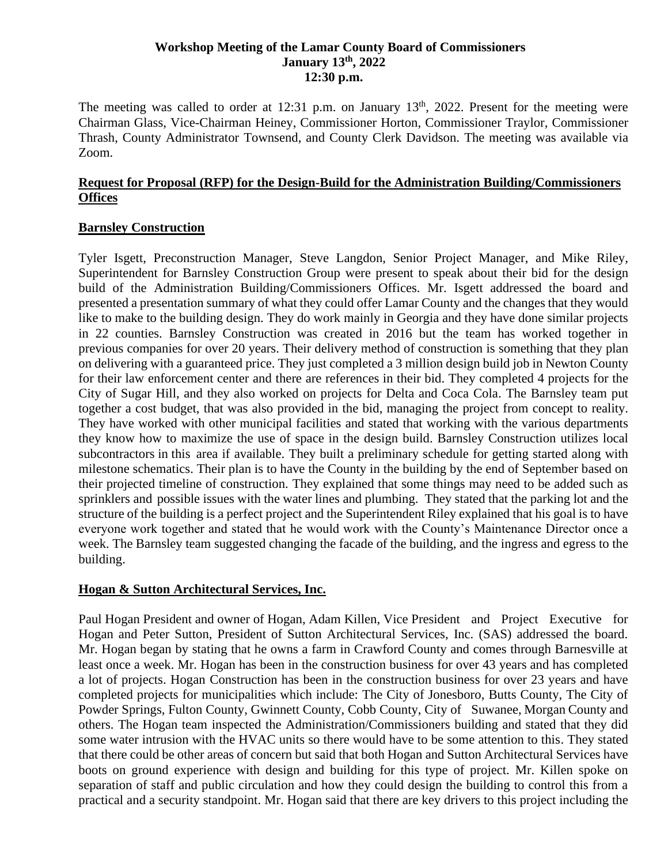#### **Workshop Meeting of the Lamar County Board of Commissioners January 13th, 2022 12:30 p.m.**

The meeting was called to order at 12:31 p.m. on January  $13<sup>th</sup>$ , 2022. Present for the meeting were Chairman Glass, Vice-Chairman Heiney, Commissioner Horton, Commissioner Traylor, Commissioner Thrash, County Administrator Townsend, and County Clerk Davidson. The meeting was available via Zoom.

#### **Request for Proposal (RFP) for the Design-Build for the Administration Building/Commissioners Offices**

#### **Barnsley Construction**

Tyler Isgett, Preconstruction Manager, Steve Langdon, Senior Project Manager, and Mike Riley, Superintendent for Barnsley Construction Group were present to speak about their bid for the design build of the Administration Building/Commissioners Offices. Mr. Isgett addressed the board and presented a presentation summary of what they could offer Lamar County and the changes that they would like to make to the building design. They do work mainly in Georgia and they have done similar projects in 22 counties. Barnsley Construction was created in 2016 but the team has worked together in previous companies for over 20 years. Their delivery method of construction is something that they plan on delivering with a guaranteed price. They just completed a 3 million design build job in Newton County for their law enforcement center and there are references in their bid. They completed 4 projects for the City of Sugar Hill, and they also worked on projects for Delta and Coca Cola. The Barnsley team put together a cost budget, that was also provided in the bid, managing the project from concept to reality. They have worked with other municipal facilities and stated that working with the various departments they know how to maximize the use of space in the design build. Barnsley Construction utilizes local subcontractors in this area if available. They built a preliminary schedule for getting started along with milestone schematics. Their plan is to have the County in the building by the end of September based on their projected timeline of construction. They explained that some things may need to be added such as sprinklers and possible issues with the water lines and plumbing. They stated that the parking lot and the structure of the building is a perfect project and the Superintendent Riley explained that his goal is to have everyone work together and stated that he would work with the County's Maintenance Director once a week. The Barnsley team suggested changing the facade of the building, and the ingress and egress to the building.

## **Hogan & Sutton Architectural Services, Inc.**

 Paul Hogan President and owner of Hogan, Adam Killen, Vice President and Project Executive for Hogan and Peter Sutton, President of Sutton Architectural Services, Inc. (SAS) addressed the board. Mr. Hogan began by stating that he owns a farm in Crawford County and comes through Barnesville at least once a week. Mr. Hogan has been in the construction business for over 43 years and has completed a lot of projects. Hogan Construction has been in the construction business for over 23 years and have completed projects for municipalities which include: The City of Jonesboro, Butts County, The City of Powder Springs, Fulton County, Gwinnett County, Cobb County, City of Suwanee, Morgan County and others. The Hogan team inspected the Administration/Commissioners building and stated that they did some water intrusion with the HVAC units so there would have to be some attention to this. They stated that there could be other areas of concern but said that both Hogan and Sutton Architectural Services have boots on ground experience with design and building for this type of project. Mr. Killen spoke on separation of staff and public circulation and how they could design the building to control this from a practical and a security standpoint. Mr. Hogan said that there are key drivers to this project including the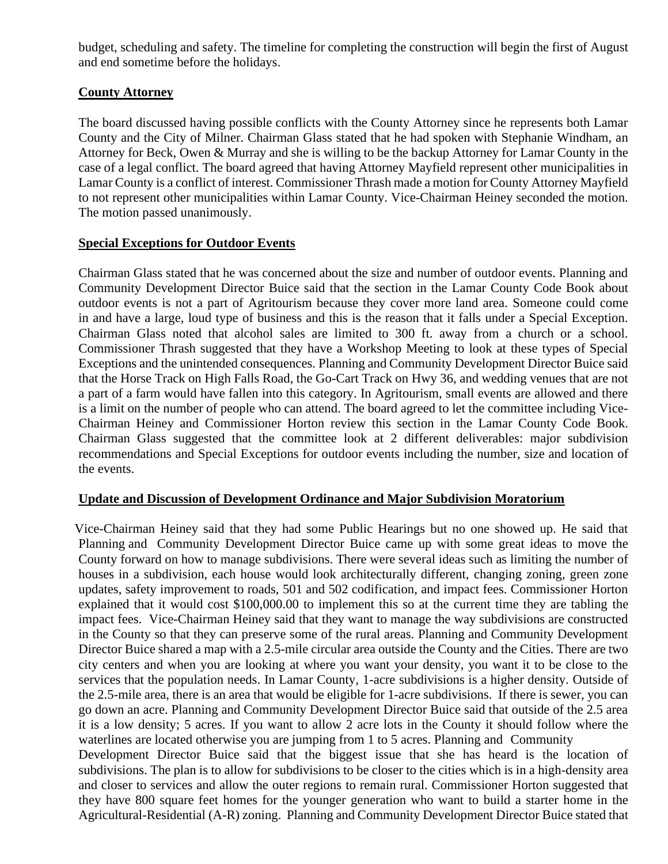budget, scheduling and safety. The timeline for completing the construction will begin the first of August and end sometime before the holidays.

## **County Attorney**

The board discussed having possible conflicts with the County Attorney since he represents both Lamar County and the City of Milner. Chairman Glass stated that he had spoken with Stephanie Windham, an Attorney for Beck, Owen & Murray and she is willing to be the backup Attorney for Lamar County in the case of a legal conflict. The board agreed that having Attorney Mayfield represent other municipalities in Lamar County is a conflict of interest. Commissioner Thrash made a motion for County Attorney Mayfield to not represent other municipalities within Lamar County. Vice-Chairman Heiney seconded the motion. The motion passed unanimously.

#### **Special Exceptions for Outdoor Events**

 Chairman Glass stated that he was concerned about the size and number of outdoor events. Planning and Community Development Director Buice said that the section in the Lamar County Code Book about outdoor events is not a part of Agritourism because they cover more land area. Someone could come in and have a large, loud type of business and this is the reason that it falls under a Special Exception. Chairman Glass noted that alcohol sales are limited to 300 ft. away from a church or a school. Commissioner Thrash suggested that they have a Workshop Meeting to look at these types of Special Exceptions and the unintended consequences. Planning and Community Development Director Buice said that the Horse Track on High Falls Road, the Go-Cart Track on Hwy 36, and wedding venues that are not a part of a farm would have fallen into this category. In Agritourism, small events are allowed and there is a limit on the number of people who can attend. The board agreed to let the committee including Vice-Chairman Heiney and Commissioner Horton review this section in the Lamar County Code Book. Chairman Glass suggested that the committee look at 2 different deliverables: major subdivision recommendations and Special Exceptions for outdoor events including the number, size and location of the events.

#### **Update and Discussion of Development Ordinance and Major Subdivision Moratorium**

Vice-Chairman Heiney said that they had some Public Hearings but no one showed up. He said that Planning and Community Development Director Buice came up with some great ideas to move the County forward on how to manage subdivisions. There were several ideas such as limiting the number of houses in a subdivision, each house would look architecturally different, changing zoning, green zone updates, safety improvement to roads, 501 and 502 codification, and impact fees. Commissioner Horton explained that it would cost \$100,000.00 to implement this so at the current time they are tabling the impact fees. Vice-Chairman Heiney said that they want to manage the way subdivisions are constructed in the County so that they can preserve some of the rural areas. Planning and Community Development Director Buice shared a map with a 2.5-mile circular area outside the County and the Cities. There are two city centers and when you are looking at where you want your density, you want it to be close to the services that the population needs. In Lamar County, 1-acre subdivisions is a higher density. Outside of the 2.5-mile area, there is an area that would be eligible for 1-acre subdivisions. If there is sewer, you can go down an acre. Planning and Community Development Director Buice said that outside of the 2.5 area it is a low density; 5 acres. If you want to allow 2 acre lots in the County it should follow where the waterlines are located otherwise you are jumping from 1 to 5 acres. Planning and Community

Development Director Buice said that the biggest issue that she has heard is the location of subdivisions. The plan is to allow for subdivisions to be closer to the cities which is in a high-density area and closer to services and allow the outer regions to remain rural. Commissioner Horton suggested that they have 800 square feet homes for the younger generation who want to build a starter home in the Agricultural-Residential (A-R) zoning. Planning and Community Development Director Buice stated that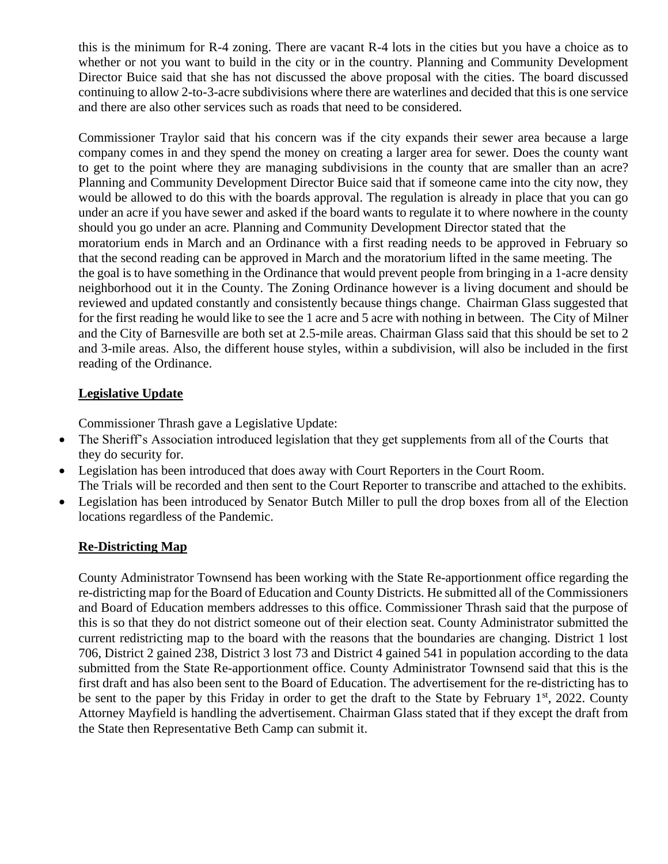this is the minimum for R-4 zoning. There are vacant R-4 lots in the cities but you have a choice as to whether or not you want to build in the city or in the country. Planning and Community Development Director Buice said that she has not discussed the above proposal with the cities. The board discussed continuing to allow 2-to-3-acre subdivisions where there are waterlines and decided that this is one service and there are also other services such as roads that need to be considered.

Commissioner Traylor said that his concern was if the city expands their sewer area because a large company comes in and they spend the money on creating a larger area for sewer. Does the county want to get to the point where they are managing subdivisions in the county that are smaller than an acre? Planning and Community Development Director Buice said that if someone came into the city now, they would be allowed to do this with the boards approval. The regulation is already in place that you can go under an acre if you have sewer and asked if the board wants to regulate it to where nowhere in the county should you go under an acre. Planning and Community Development Director stated that the moratorium ends in March and an Ordinance with a first reading needs to be approved in February so that the second reading can be approved in March and the moratorium lifted in the same meeting. The the goal is to have something in the Ordinance that would prevent people from bringing in a 1-acre density neighborhood out it in the County. The Zoning Ordinance however is a living document and should be reviewed and updated constantly and consistently because things change. Chairman Glass suggested that for the first reading he would like to see the 1 acre and 5 acre with nothing in between. The City of Milner and the City of Barnesville are both set at 2.5-mile areas. Chairman Glass said that this should be set to 2 and 3-mile areas. Also, the different house styles, within a subdivision, will also be included in the first reading of the Ordinance.

# **Legislative Update**

Commissioner Thrash gave a Legislative Update:

- The Sheriff's Association introduced legislation that they get supplements from all of the Courts that they do security for.
- Legislation has been introduced that does away with Court Reporters in the Court Room. The Trials will be recorded and then sent to the Court Reporter to transcribe and attached to the exhibits.
- Legislation has been introduced by Senator Butch Miller to pull the drop boxes from all of the Election locations regardless of the Pandemic.

## **Re-Districting Map**

County Administrator Townsend has been working with the State Re-apportionment office regarding the re-districting map for the Board of Education and County Districts. He submitted all of the Commissioners and Board of Education members addresses to this office. Commissioner Thrash said that the purpose of this is so that they do not district someone out of their election seat. County Administrator submitted the current redistricting map to the board with the reasons that the boundaries are changing. District 1 lost 706, District 2 gained 238, District 3 lost 73 and District 4 gained 541 in population according to the data submitted from the State Re-apportionment office. County Administrator Townsend said that this is the first draft and has also been sent to the Board of Education. The advertisement for the re-districting has to be sent to the paper by this Friday in order to get the draft to the State by February  $1<sup>st</sup>$ , 2022. County Attorney Mayfield is handling the advertisement. Chairman Glass stated that if they except the draft from the State then Representative Beth Camp can submit it.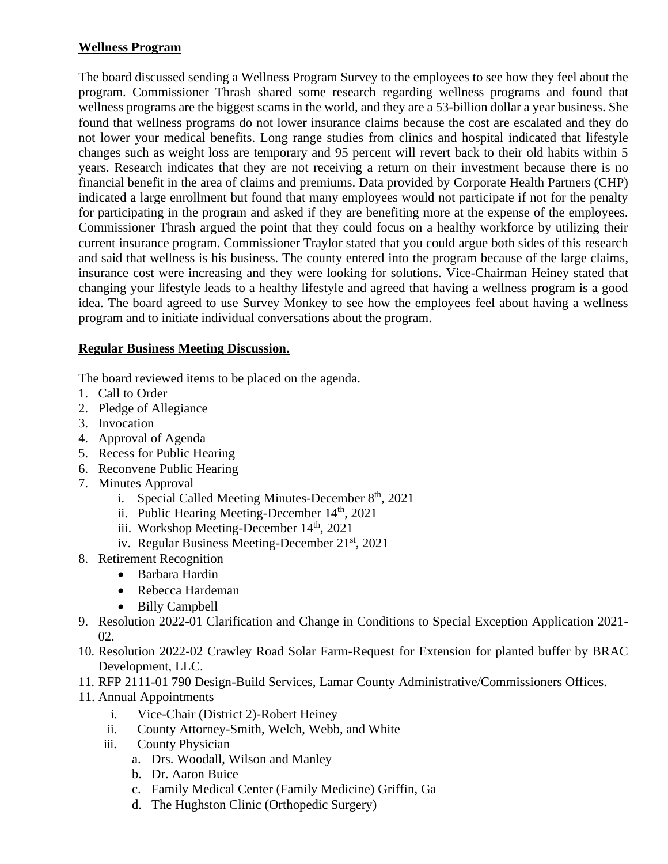# **Wellness Program**

The board discussed sending a Wellness Program Survey to the employees to see how they feel about the program. Commissioner Thrash shared some research regarding wellness programs and found that wellness programs are the biggest scams in the world, and they are a 53-billion dollar a year business. She found that wellness programs do not lower insurance claims because the cost are escalated and they do not lower your medical benefits. Long range studies from clinics and hospital indicated that lifestyle changes such as weight loss are temporary and 95 percent will revert back to their old habits within 5 years. Research indicates that they are not receiving a return on their investment because there is no financial benefit in the area of claims and premiums. Data provided by Corporate Health Partners (CHP) indicated a large enrollment but found that many employees would not participate if not for the penalty for participating in the program and asked if they are benefiting more at the expense of the employees. Commissioner Thrash argued the point that they could focus on a healthy workforce by utilizing their current insurance program. Commissioner Traylor stated that you could argue both sides of this research and said that wellness is his business. The county entered into the program because of the large claims, insurance cost were increasing and they were looking for solutions. Vice-Chairman Heiney stated that changing your lifestyle leads to a healthy lifestyle and agreed that having a wellness program is a good idea. The board agreed to use Survey Monkey to see how the employees feel about having a wellness program and to initiate individual conversations about the program.

# **Regular Business Meeting Discussion.**

The board reviewed items to be placed on the agenda.

- 1. Call to Order
- 2. Pledge of Allegiance
- 3. Invocation
- 4. Approval of Agenda
- 5. Recess for Public Hearing
- 6. Reconvene Public Hearing
- 7. Minutes Approval
	- i. Special Called Meeting Minutes-December  $8<sup>th</sup>$ , 2021
	- ii. Public Hearing Meeting-December 14<sup>th</sup>, 2021
	- iii. Workshop Meeting-December 14<sup>th</sup>, 2021
	- iv. Regular Business Meeting-December 21st, 2021
- 8. Retirement Recognition
	- Barbara Hardin
	- Rebecca Hardeman
	- Billy Campbell
- 9. Resolution 2022-01 Clarification and Change in Conditions to Special Exception Application 2021- 02.
- 10. Resolution 2022-02 Crawley Road Solar Farm-Request for Extension for planted buffer by BRAC Development, LLC.
- 11. RFP 2111-01 790 Design-Build Services, Lamar County Administrative/Commissioners Offices.
- 11. Annual Appointments
	- i. Vice-Chair (District 2)-Robert Heiney
	- ii. County Attorney-Smith, Welch, Webb, and White
	- iii. County Physician
		- a. Drs. Woodall, Wilson and Manley
		- b. Dr. Aaron Buice
		- c. Family Medical Center (Family Medicine) Griffin, Ga
		- d. The Hughston Clinic (Orthopedic Surgery)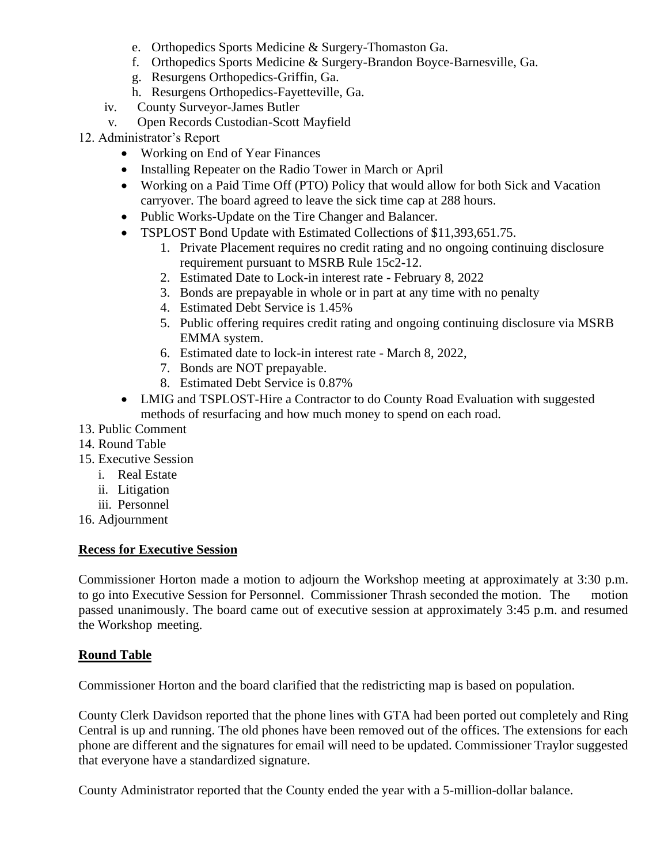- e. Orthopedics Sports Medicine & Surgery-Thomaston Ga.
- f. Orthopedics Sports Medicine & Surgery-Brandon Boyce-Barnesville, Ga.
- g. Resurgens Orthopedics-Griffin, Ga.
- h. Resurgens Orthopedics-Fayetteville, Ga.
- iv. County Surveyor-James Butler
- v. Open Records Custodian-Scott Mayfield
- 12. Administrator's Report
	- Working on End of Year Finances
	- Installing Repeater on the Radio Tower in March or April
	- Working on a Paid Time Off (PTO) Policy that would allow for both Sick and Vacation carryover. The board agreed to leave the sick time cap at 288 hours.
	- Public Works-Update on the Tire Changer and Balancer.
	- TSPLOST Bond Update with Estimated Collections of \$11,393,651.75.
		- 1. Private Placement requires no credit rating and no ongoing continuing disclosure requirement pursuant to MSRB Rule 15c2-12.
		- 2. Estimated Date to Lock-in interest rate February 8, 2022
		- 3. Bonds are prepayable in whole or in part at any time with no penalty
		- 4. Estimated Debt Service is 1.45%
		- 5. Public offering requires credit rating and ongoing continuing disclosure via MSRB EMMA system.
		- 6. Estimated date to lock-in interest rate March 8, 2022,
		- 7. Bonds are NOT prepayable.
		- 8. Estimated Debt Service is 0.87%
	- LMIG and TSPLOST-Hire a Contractor to do County Road Evaluation with suggested methods of resurfacing and how much money to spend on each road.
- 13. Public Comment
- 14. Round Table
- 15. Executive Session
	- i. Real Estate
	- ii. Litigation
	- iii. Personnel
- 16. Adjournment

## **Recess for Executive Session**

Commissioner Horton made a motion to adjourn the Workshop meeting at approximately at 3:30 p.m. to go into Executive Session for Personnel. Commissioner Thrash seconded the motion. The motion passed unanimously. The board came out of executive session at approximately 3:45 p.m. and resumed the Workshop meeting.

## **Round Table**

Commissioner Horton and the board clarified that the redistricting map is based on population.

County Clerk Davidson reported that the phone lines with GTA had been ported out completely and Ring Central is up and running. The old phones have been removed out of the offices. The extensions for each phone are different and the signatures for email will need to be updated. Commissioner Traylor suggested that everyone have a standardized signature.

County Administrator reported that the County ended the year with a 5-million-dollar balance.